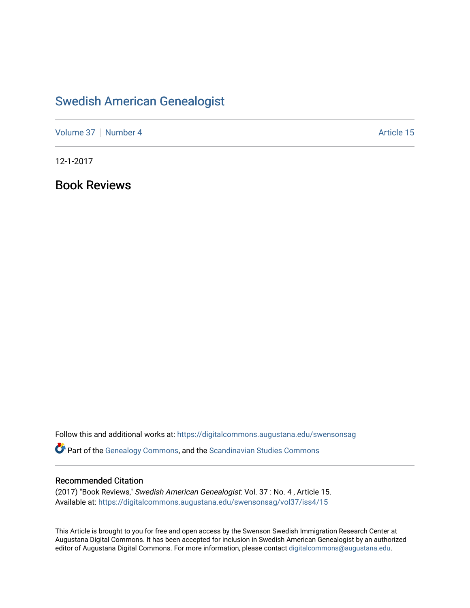## [Swedish American Genealogist](https://digitalcommons.augustana.edu/swensonsag)

[Volume 37](https://digitalcommons.augustana.edu/swensonsag/vol37) | [Number 4](https://digitalcommons.augustana.edu/swensonsag/vol37/iss4) Article 15

12-1-2017

Book Reviews

Follow this and additional works at: [https://digitalcommons.augustana.edu/swensonsag](https://digitalcommons.augustana.edu/swensonsag?utm_source=digitalcommons.augustana.edu%2Fswensonsag%2Fvol37%2Fiss4%2F15&utm_medium=PDF&utm_campaign=PDFCoverPages) 

**C** Part of the [Genealogy Commons,](http://network.bepress.com/hgg/discipline/1342?utm_source=digitalcommons.augustana.edu%2Fswensonsag%2Fvol37%2Fiss4%2F15&utm_medium=PDF&utm_campaign=PDFCoverPages) and the [Scandinavian Studies Commons](http://network.bepress.com/hgg/discipline/485?utm_source=digitalcommons.augustana.edu%2Fswensonsag%2Fvol37%2Fiss4%2F15&utm_medium=PDF&utm_campaign=PDFCoverPages)

### Recommended Citation

(2017) "Book Reviews," Swedish American Genealogist: Vol. 37 : No. 4 , Article 15. Available at: [https://digitalcommons.augustana.edu/swensonsag/vol37/iss4/15](https://digitalcommons.augustana.edu/swensonsag/vol37/iss4/15?utm_source=digitalcommons.augustana.edu%2Fswensonsag%2Fvol37%2Fiss4%2F15&utm_medium=PDF&utm_campaign=PDFCoverPages) 

This Article is brought to you for free and open access by the Swenson Swedish Immigration Research Center at Augustana Digital Commons. It has been accepted for inclusion in Swedish American Genealogist by an authorized editor of Augustana Digital Commons. For more information, please contact [digitalcommons@augustana.edu.](mailto:digitalcommons@augustana.edu)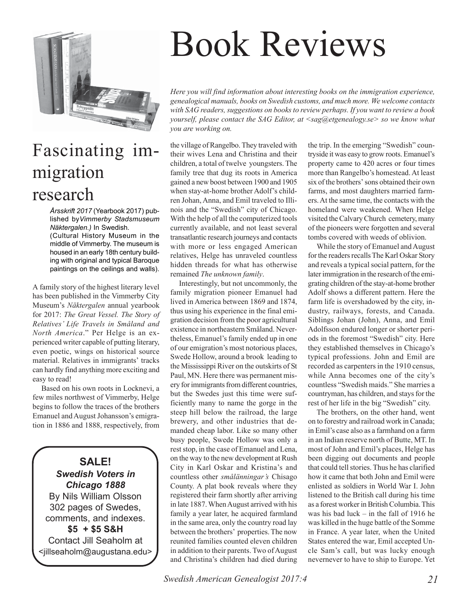

## Fascinating immigration research

*Årsskrift 2017* (Yearbook 2017) published by*Vimmerby Stadsmuseum Näktergalen.)* In Swedish. (Cultural History Museum in the middle of Vimmerby. The museum is housed in an early 18th century building with original and typical Baroque paintings on the ceilings and walls).

A family story of the highest literary level has been published in the Vimmerby City Museum's *Näktergalen* annual yearbook for 2017: *The Great Vessel. The Story of Relatives' Life Travels in Småland and North America*." Per Helge is an experienced writer capable of putting literary, even poetic, wings on historical source material. Relatives in immigrants' tracks can hardly find anything more exciting and easy to read!

Based on his own roots in Locknevi, a few miles northwest of Vimmerby, Helge begins to follow the traces of the brothers Emanuel and August Johansson's emigration in 1886 and 1888, respectively, from

**SALE!** *Swedish Voters in Chicago 1888* By Nils William Olsson 302 pages of Swedes, comments, and indexes. **\$5 + \$5 S&H** Contact Jill Seaholm at <jillseaholm@augustana.edu>

# Book Reviews

*Here you will find information about interesting books on the immigration experience, genealogical manuals, books on Swedish customs, and much more. We welcome contacts with SAG readers, suggestions on books to review perhaps. If you want to review a book yourself, please contact the SAG Editor, at <sag@etgenealogy.se> so we know what you are working on.*

the village of Rangelbo. They traveled with their wives Lena and Christina and their children, a total of twelve youngsters. The family tree that dug its roots in America gained a new boost between 1900 and 1905 when stay-at-home brother Adolf's children Johan, Anna, and Emil traveled to Illinois and the "Swedish" city of Chicago. With the help of all the computerized tools currently available, and not least several transatlantic research journeys and contacts with more or less engaged American relatives, Helge has unraveled countless hidden threads for what has otherwise remained *The unknown family*.

Interestingly, but not uncommonly, the family migration pioneer Emanuel had lived in America between 1869 and 1874, thus using his experience in the final emigration decision from the poor agricultural existence in northeastern Småland. Nevertheless, Emanuel's family ended up in one of our emigration's most notorious places, Swede Hollow, around a brook leading to the Mississippi River on the outskirts of St Paul, MN. Here there was permanent misery for immigrants from different countries, but the Swedes just this time were sufficiently many to name the gorge in the steep hill below the railroad, the large brewery, and other industries that demanded cheap labor. Like so many other busy people, Swede Hollow was only a rest stop, in the case of Emanuel and Lena, on the way to the new development at Rush City in Karl Oskar and Kristina's and countless other *smålänningar's* Chisago County. A plat book reveals where they registered their farm shortly after arriving in late 1887. When August arrived with his family a year later, he acquired farmland in the same area, only the country road lay between the brothers' properties. The now reunited families counted eleven children in addition to their parents. Two of August and Christina's children had died during

the trip. In the emerging "Swedish" countryside it was easy to grow roots. Emanuel's property came to 420 acres or four times more than Rangelbo's homestead. At least six of the brothers' sons obtained their own farms, and most daughters married farmers. At the same time, the contacts with the homeland were weakened. When Helge visited the Calvary Church cemetery, many of the pioneers were forgotten and several tombs covered with weeds of oblivion.

While the story of Emanuel and August for the readers recalls The Karl Oskar Story and reveals a typical social pattern, for the later immigration in the research of the emigrating children of the stay-at-home brother Adolf shows a different pattern. Here the farm life is overshadowed by the city, industry, railways, forests, and Canada. Siblings Johan (John), Anna, and Emil Adolfsson endured longer or shorter periods in the foremost "Swedish" city. Here they established themselves in Chicago's typical professions. John and Emil are recorded as carpenters in the 1910 census, while Anna becomes one of the city's countless "Swedish maids." She marries a countryman, has children, and stays for the rest of her life in the big "Swedish" city.

The brothers, on the other hand, went on to forestry and railroad work in Canada; in Emil's case also as a farmhand on a farm in an Indian reserve north of Butte, MT. In most of John and Emil's places, Helge has been digging out documents and people that could tell stories. Thus he has clarified how it came that both John and Emil were enlisted as soldiers in World War I. John listened to the British call during his time as a forest worker in British Columbia. This was his bad luck – in the fall of 1916 he was killed in the huge battle of the Somme in France. A year later, when the United States entered the war, Emil accepted Uncle Sam's call, but was lucky enough nevernever to have to ship to Europe. Yet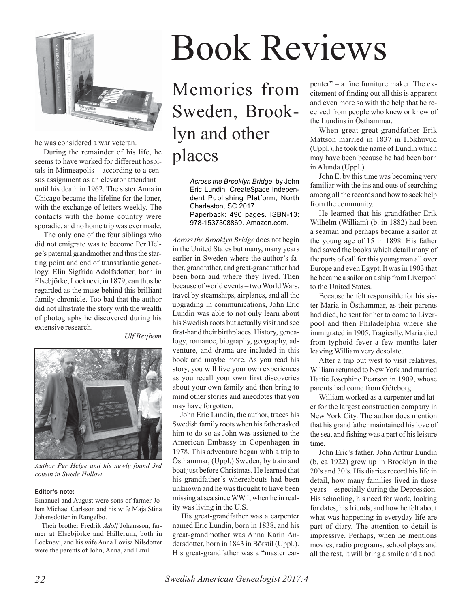

he was considered a war veteran.

During the remainder of his life, he seems to have worked for different hospitals in Minneapolis – according to a census assignment as an elevator attendant – until his death in 1962. The sister Anna in Chicago became the lifeline for the loner, with the exchange of letters weekly. The contacts with the home country were sporadic, and no home trip was ever made.

The only one of the four siblings who did not emigrate was to become Per Helge's paternal grandmother and thus the starting point and end of transatlantic genealogy. Elin Sigfrida Adolfsdotter, born in Elsebjörke, Locknevi, in 1879, can thus be regarded as the muse behind this brilliant family chronicle. Too bad that the author did not illustrate the story with the wealth of photographs he discovered during his extensive research.

*Ulf Beijbom*



*Author Per Helge and his newly found 3rd cousin in Swede Hollow.*

### **Editor's note:**

Emanuel and August were sons of farmer Johan Michael Carlsson and his wife Maja Stina Johansdotter in Rangelbo.

Their brother Fredrik *Adolf* Johansson, farmer at Elsebjörke and Hällerum, both in Locknevi, and his wife Anna Lovisa Nilsdotter were the parents of John, Anna, and Emil.

# Book Reviews

Memories from Sweden, Brooklyn and other places

> *Across the Brooklyn Bridge*, by John Eric Lundin, CreateSpace Independent Publishing Platform, North Charleston, SC 2017. Paperback: 490 pages. ISBN-13: 978-1537308869. Amazon.com.

*Across the Brooklyn Bridge* does not begin in the United States but many, many years earlier in Sweden where the author's father, grandfather, and great-grandfather had been born and where they lived. Then because of world events – two World Wars, travel by steamships, airplanes, and all the upgrading in communications, John Eric Lundin was able to not only learn about his Swedish roots but actually visit and see first-hand their birthplaces. History, genealogy, romance, biography, geography, adventure, and drama are included in this book and maybe more. As you read his story, you will live your own experiences as you recall your own first discoveries about your own family and then bring to mind other stories and anecdotes that you may have forgotten.

John Eric Lundin, the author, traces his Swedish family roots when his father asked him to do so as John was assigned to the American Embassy in Copenhagen in 1978. This adventure began with a trip to Östhammar, (Uppl.) Sweden, by train and boat just before Christmas. He learned that his grandfather's whereabouts had been unknown and he was thought to have been missing at sea since WW I, when he in reality was living in the U.S.

His great-grandfather was a carpenter named Eric Lundin, born in 1838, and his great-grandmother was Anna Karin Andersdotter, born in 1843 in Börstil (Uppl.). His great-grandfather was a "master carpenter" – a fine furniture maker. The excitement of finding out all this is apparent and even more so with the help that he received from people who knew or knew of the Lundins in Östhammar.

When great-great-grandfather Erik Mattson married in 1837 in Hökhuvud (Uppl.), he took the name of Lundin which may have been because he had been born in Alunda (Uppl.).

John E. by this time was becoming very familiar with the ins and outs of searching among all the records and how to seek help from the community.

He learned that his grandfather Erik Wilhelm (William) (b. in 1882) had been a seaman and perhaps became a sailor at the young age of 15 in 1898. His father had saved the books which detail many of the ports of call for this young man all over Europe and even Egypt. It was in 1903 that he became a sailor on a ship from Liverpool to the United States.

Because he felt responsible for his sister Maria in Östhammar, as their parents had died, he sent for her to come to Liverpool and then Philadelphia where she immigrated in 1905. Tragically, Maria died from typhoid fever a few months later leaving William very desolate.

After a trip out west to visit relatives, William returned to New York and married Hattie Josephine Pearson in 1909, whose parents had come from Göteborg.

William worked as a carpenter and later for the largest construction company in New York City. The author does mention that his grandfather maintained his love of the sea, and fishing was a part of his leisure time.

John Eric's father, John Arthur Lundin (b. ca 1922) grew up in Brooklyn in the 20's and 30's. His diaries record his life in detail, how many families lived in those years – especially during the Depression. His schooling, his need for work, looking for dates, his friends, and how he felt about what was happening in everyday life are part of diary. The attention to detail is impressive. Perhaps, when he mentions movies, radio programs, school plays and all the rest, it will bring a smile and a nod.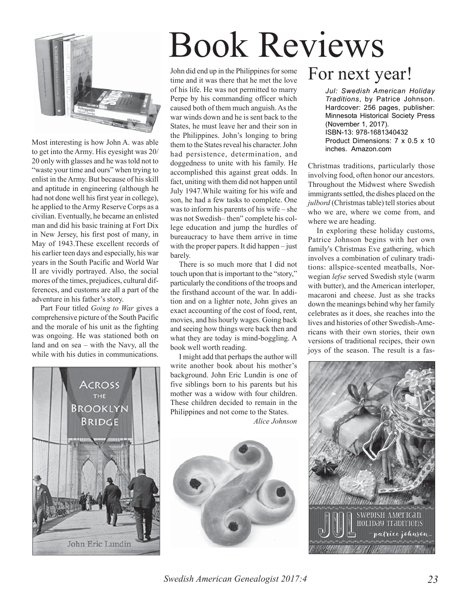

Most interesting is how John A. was able to get into the Army. His eyesight was 20/ 20 only with glasses and he was told not to "waste your time and ours" when trying to enlist in the Army. But because of his skill and aptitude in engineering (although he had not done well his first year in college), he applied to the Army Reserve Corps as a civilian. Eventually, he became an enlisted man and did his basic training at Fort Dix in New Jersey, his first post of many, in May of 1943.These excellent records of his earlier teen days and especially, his war years in the South Pacific and World War II are vividly portrayed. Also, the social mores of the times, prejudices, cultural differences, and customs are all a part of the adventure in his father's story.

Part Four titled *Going to War* gives a comprehensive picture of the South Pacific and the morale of his unit as the fighting was ongoing. He was stationed both on land and on sea – with the Navy, all the while with his duties in communications.



# Book Reviews

John did end up in the Philippines for some time and it was there that he met the love of his life. He was not permitted to marry Perpe by his commanding officer which caused both of them much anguish. As the war winds down and he is sent back to the States, he must leave her and their son in the Philippines. John's longing to bring them to the States reveal his character. John had persistence, determination, and doggedness to unite with his family. He accomplished this against great odds. In fact, uniting with them did not happen until July 1947.While waiting for his wife and son, he had a few tasks to complete. One was to inform his parents of his wife – she was not Swedish– then" complete his college education and jump the hurdles of bureaucracy to have them arrive in time with the proper papers. It did happen – just barely.

There is so much more that I did not touch upon that is important to the "story," particularly the conditions of the troops and the firsthand account of the war. In addition and on a lighter note, John gives an exact accounting of the cost of food, rent, movies, and his hourly wages. Going back and seeing how things were back then and what they are today is mind-boggling. A book well worth reading.

I might add that perhaps the author will write another book about his mother's background. John Eric Lundin is one of five siblings born to his parents but his mother was a widow with four children. These children decided to remain in the Philippines and not come to the States. *Alice Johnson*



# For next year!

*Jul: Swedish American Holiday Traditions*, by Patrice Johnson. Hardcover: 256 pages, publisher: Minnesota Historical Society Press (November 1, 2017). ISBN-13: 978-1681340432 Product Dimensions: 7 x 0.5 x 10 inches. Amazon.com

Christmas traditions, particularly those involving food, often honor our ancestors. Throughout the Midwest where Swedish immigrants settled, the dishes placed on the *julbord* (Christmas table) tell stories about who we are, where we come from, and where we are heading.

In exploring these holiday customs, Patrice Johnson begins with her own family's Christmas Eve gathering, which involves a combination of culinary traditions: allspice-scented meatballs, Norwegian *lefse* served Swedish style (warm with butter), and the American interloper, macaroni and cheese. Just as she tracks down the meanings behind why her family celebrates as it does, she reaches into the lives and histories of other Swedish-Americans with their own stories, their own versions of traditional recipes, their own joys of the season. The result is a fas-



*Swedish American Genealogist 2017:4 23*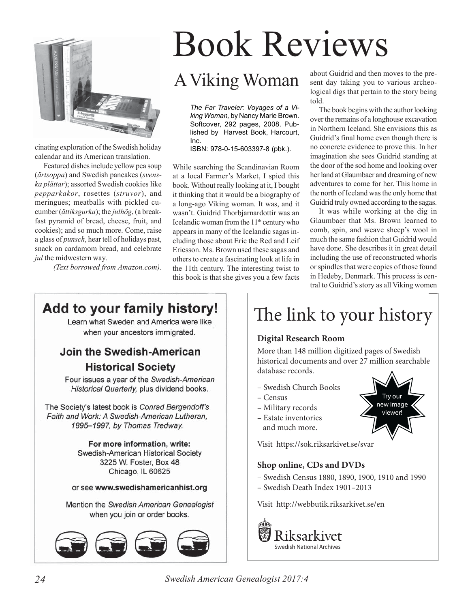

cinating exploration of the Swedish holiday calendar and its American translation.

Featured dishes include yellow pea soup (*ärtsoppa*) and Swedish pancakes (*svenska plättar*); assorted Swedish cookies like *pepparkakor*, rosettes (*struvor*), and meringues; meatballs with pickled cucumber (*ättiksgurka*); the *julhög*, (a breakfast pyramid of bread, cheese, fruit, and cookies); and so much more. Come, raise a glass of *punsch*, hear tell of holidays past, snack on cardamom bread, and celebrate *jul* the midwestern way.

*(Text borrowed from Amazon.com).*

# Book Reviews

*The Far Traveler: Voyages of a Viking Woman,* by Nancy Marie Brown. Softcover, 292 pages, 2008. Published by Harvest Book, Harcourt, Inc.

ISBN: 978-0-15-603397-8 (pbk.).

While searching the Scandinavian Room at a local Farmer's Market, I spied this book. Without really looking at it, I bought it thinking that it would be a biography of a long-ago Viking woman. It was, and it wasn't. Guidrid Thorbjarnardottir was an Icelandic woman from the  $11<sup>th</sup>$  century who appears in many of the Icelandic sagas including those about Eric the Red and Leif Ericsson. Ms. Brown used these sagas and others to create a fascinating look at life in the 11th century. The interesting twist to this book is that she gives you a few facts

A Viking Woman about Guidrid and then moves to the present day taking you to various archeological digs that pertain to the story being told.

> The book begins with the author looking over the remains of a longhouse excavation in Northern Iceland. She envisions this as Guidrid's final home even though there is no concrete evidence to prove this. In her imagination she sees Guidrid standing at the door of the sod home and looking over her land at Glaumbaer and dreaming of new adventures to come for her. This home in the north of Iceland was the only home that Guidrid truly owned according to the sagas.

> It was while working at the dig in Glaumbaer that Ms. Brown learned to comb, spin, and weave sheep's wool in much the same fashion that Guidrid would have done. She describes it in great detail including the use of reconstructed whorls or spindles that were copies of those found in Hedeby, Denmark. This process is central to Guidrid's story as all Viking women

> > Try our new image viewer!

## Add to your family history!

Learn what Sweden and America were like when your ancestors immigrated.

## Join the Swedish-American

**Historical Society** 

Four issues a year of the Swedish-American Historical Quarterly, plus dividend books.

The Society's latest book is Conrad Bergendoff's Faith and Work: A Swedish-American Lutheran, 1895-1997, by Thomas Tredway.

> For more information, write: Swedish-American Historical Society 3225 W. Foster, Box 48 Chicago, IL 60625

or see www.swedishamericanhist.org

Mention the Swedish American Genealogist when you join or order books.



# The link to your history

### **Digital Research Room**

More than 148 million digitized pages of Swedish historical documents and over 27 million searchable database records.

- Swedish Church Books
- Census
- Military records
- Estate inventories and much more.

Visit https://sok.riksarkivet.se/svar

### Shop online, CDs and DVDs

- Swedish Census 1880, 1890, 1900, 1910 and 1990
- $-$  Swedish Death Index 1901-2013

Visit http://webbutik.riksarkivet.se/en



*24 Swedish American Genealogist 2017:4*